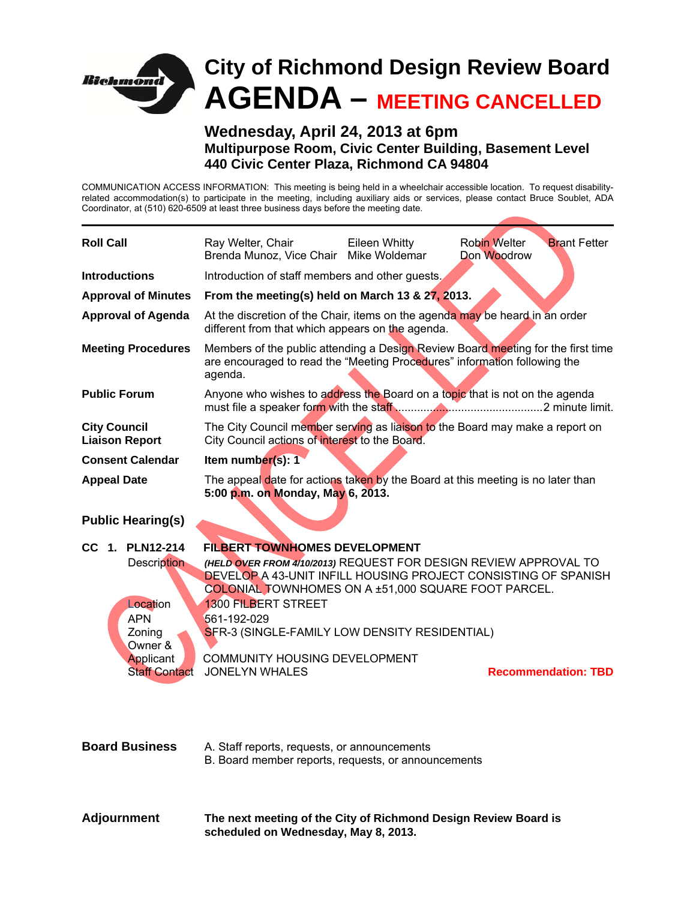

**Wednesday, April 24, 2013 at 6pm Multipurpose Room, Civic Center Building, Basement Level 440 Civic Center Plaza, Richmond CA 94804** 

COMMUNICATION ACCESS INFORMATION: This meeting is being held in a wheelchair accessible location. To request disabilityrelated accommodation(s) to participate in the meeting, including auxiliary aids or services, please contact Bruce Soublet, ADA Coordinator, at (510) 620-6509 at least three business days before the meeting date.

| <b>Roll Call</b>                                                                                                   | Ray Welter, Chair<br>Brenda Munoz, Vice Chair Mike Woldemar                                                                                                                                                                                                                                                                                                                               | Eileen Whitty | <b>Robin Welter</b><br>Don Woodrow | <b>Brant Fetter</b>        |
|--------------------------------------------------------------------------------------------------------------------|-------------------------------------------------------------------------------------------------------------------------------------------------------------------------------------------------------------------------------------------------------------------------------------------------------------------------------------------------------------------------------------------|---------------|------------------------------------|----------------------------|
| <b>Introductions</b>                                                                                               | Introduction of staff members and other guests.                                                                                                                                                                                                                                                                                                                                           |               |                                    |                            |
| <b>Approval of Minutes</b>                                                                                         | From the meeting(s) held on March 13 & 27, 2013.                                                                                                                                                                                                                                                                                                                                          |               |                                    |                            |
| <b>Approval of Agenda</b>                                                                                          | At the discretion of the Chair, items on the agenda may be heard in an order<br>different from that which appears on the agenda.                                                                                                                                                                                                                                                          |               |                                    |                            |
| <b>Meeting Procedures</b>                                                                                          | Members of the public attending a Design Review Board meeting for the first time<br>are encouraged to read the "Meeting Procedures" information following the<br>agenda.                                                                                                                                                                                                                  |               |                                    |                            |
| <b>Public Forum</b>                                                                                                | Anyone who wishes to address the Board on a topic that is not on the agenda                                                                                                                                                                                                                                                                                                               |               |                                    |                            |
| <b>City Council</b><br><b>Liaison Report</b>                                                                       | The City Council member serving as liaison to the Board may make a report on<br>City Council actions of interest to the Board.                                                                                                                                                                                                                                                            |               |                                    |                            |
| <b>Consent Calendar</b>                                                                                            | Item number(s): 1                                                                                                                                                                                                                                                                                                                                                                         |               |                                    |                            |
| <b>Appeal Date</b>                                                                                                 | The appeal date for actions taken by the Board at this meeting is no later than<br>5:00 p.m. on Monday, May 6, 2013.                                                                                                                                                                                                                                                                      |               |                                    |                            |
| <b>Public Hearing(s)</b>                                                                                           |                                                                                                                                                                                                                                                                                                                                                                                           |               |                                    |                            |
|                                                                                                                    |                                                                                                                                                                                                                                                                                                                                                                                           |               |                                    |                            |
| CC 1. PLN12-214<br>Description<br>Location<br><b>APN</b><br>Zoning<br>Owner &<br>Applicant<br><b>Staff Contact</b> | FILBERT TOWNHOMES DEVELOPMENT<br>(HELD OVER FROM 4/10/2013) REQUEST FOR DESIGN REVIEW APPROVAL TO<br><b>DEVELOP A 43-UNIT INFILL HOUSING PROJECT CONSISTING OF SPANISH</b><br>COLONIAL TOWNHOMES ON A ±51,000 SQUARE FOOT PARCEL.<br><b>1300 FILBERT STREET</b><br>561-192-029<br>SFR-3 (SINGLE-FAMILY LOW DENSITY RESIDENTIAL)<br>COMMUNITY HOUSING DEVELOPMENT<br><b>JONELYN WHALES</b> |               |                                    | <b>Recommendation: TBD</b> |
| <b>Board Business</b>                                                                                              | A. Staff reports, requests, or announcements<br>B. Board member reports, requests, or announcements                                                                                                                                                                                                                                                                                       |               |                                    |                            |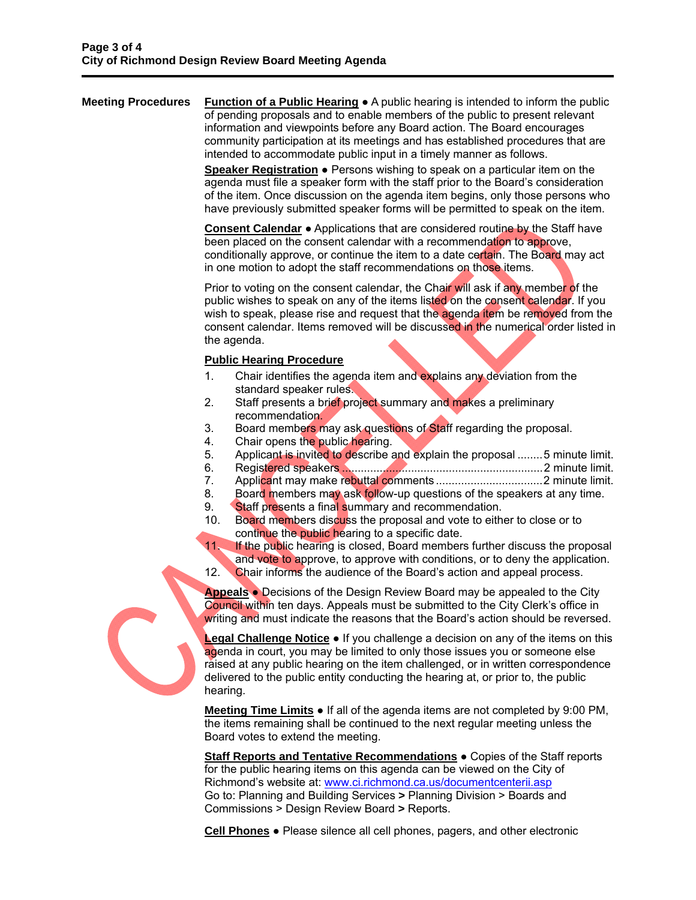**Meeting Procedures** Function of a Public Hearing ● A public hearing is intended to inform the public of pending proposals and to enable members of the public to present relevant information and viewpoints before any Board action. The Board encourages community participation at its meetings and has established procedures that are intended to accommodate public input in a timely manner as follows.

> **Speaker Registration ●** Persons wishing to speak on a particular item on the agenda must file a speaker form with the staff prior to the Board's consideration of the item. Once discussion on the agenda item begins, only those persons who have previously submitted speaker forms will be permitted to speak on the item.

**Consent Calendar** ● Applications that are considered routine by the Staff have been placed on the consent calendar with a recommendation to approve, conditionally approve, or continue the item to a date certain. The Board may act in one motion to adopt the staff recommendations on those items.

Prior to voting on the consent calendar, the Chair will ask if any member of the public wishes to speak on any of the items listed on the consent calendar. If you wish to speak, please rise and request that the agenda item be removed from the consent calendar. Items removed will be discussed in the numerical order listed in the agenda.

## **Public Hearing Procedure**

- 1. Chair identifies the agenda item and explains any deviation from the standard speaker rules.
- 2. Staff presents a brief project summary and makes a preliminary recommendation.
- 3. Board members may ask questions of Staff regarding the proposal.
- 4. Chair opens the public hearing.
- 5. Applicant is invited to describe and explain the proposal ........ 5 minute limit.
- 6. Registered speakers ................................................................ 2 minute limit.
- 7. Applicant may make rebuttal comments .................................. 2 minute limit.
- 8. Board members may ask follow-up questions of the speakers at any time.
- 9. Staff presents a final summary and recommendation.
- 10. Board members discuss the proposal and vote to either to close or to continue the public hearing to a specific date.
- 11. If the public hearing is closed, Board members further discuss the proposal and vote to approve, to approve with conditions, or to deny the application.
- 12. Chair informs the audience of the Board's action and appeal process.

**Appeals** ● Decisions of the Design Review Board may be appealed to the City Council within ten days. Appeals must be submitted to the City Clerk's office in writing and must indicate the reasons that the Board's action should be reversed.

**Legal Challenge Notice ●** If you challenge a decision on any of the items on this agenda in court, you may be limited to only those issues you or someone else raised at any public hearing on the item challenged, or in written correspondence delivered to the public entity conducting the hearing at, or prior to, the public hearing.

**Meeting Time Limits ●** If all of the agenda items are not completed by 9:00 PM, the items remaining shall be continued to the next regular meeting unless the Board votes to extend the meeting.

**Staff Reports and Tentative Recommendations** ● Copies of the Staff reports for the public hearing items on this agenda can be viewed on the City of Richmond's website at: www.ci.richmond.ca.us/documentcenterii.asp Go to: Planning and Building Services **>** Planning Division > Boards and Commissions > Design Review Board **>** Reports.

**Cell Phones** ● Please silence all cell phones, pagers, and other electronic